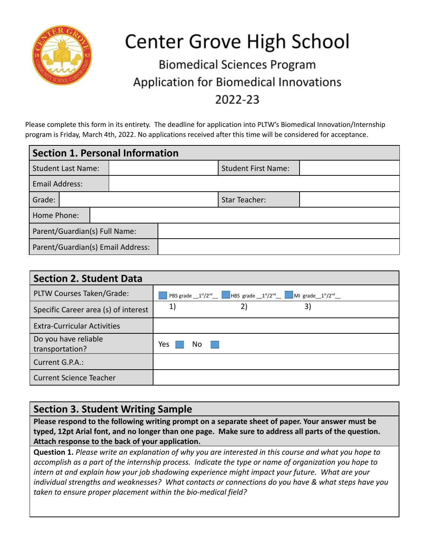

## **Center Grove High School**

## **Biomedical Sciences Program** Application for Biomedical Innovations 2022-23

Please complete this form in its entirety. The deadline for application into PLTW's Biomedical Innovation/Internship program is Friday, March 4th, 2022. No applications received after this time will be considered for acceptance.

| Section 1. Personal Information |  |  |                                   |                      |                            |  |  |  |
|---------------------------------|--|--|-----------------------------------|----------------------|----------------------------|--|--|--|
| Student Last Name:              |  |  |                                   |                      | <b>Student First Name:</b> |  |  |  |
| <b>Email Address:</b>           |  |  |                                   |                      |                            |  |  |  |
| Grade:                          |  |  |                                   | <b>Star Teacher:</b> |                            |  |  |  |
| Home Phone:                     |  |  |                                   |                      |                            |  |  |  |
| Parent/Guardian(s) Full Name:   |  |  |                                   |                      |                            |  |  |  |
|                                 |  |  | Parent/Guardian(s) Email Address: |                      |                            |  |  |  |

| <b>Section 2. Student Data</b>          |                |  |  |  |  |  |
|-----------------------------------------|----------------|--|--|--|--|--|
| PLTW Courses Taken/Grade:               |                |  |  |  |  |  |
| Specific Career area (s) of interest    | 2)<br>1)<br>3) |  |  |  |  |  |
| <b>Extra-Curricular Activities</b>      |                |  |  |  |  |  |
| Do you have reliable<br>transportation? | Yes<br>No.     |  |  |  |  |  |
| Current G.P.A.:                         |                |  |  |  |  |  |
| <b>Current Science Teacher</b>          |                |  |  |  |  |  |

## **Section 3. Student Writing Sample**

**Please respond to the following writing prompt on a separate sheet of paper. Your answer must be typed, 12pt Arial font, and no longer than one page. Make sure to address all parts of the question. Attach response to the back of your application.**

**Question 1.** *Please write an explanation of why you are interested in this course and what you hope to accomplish as a part of the internship process. Indicate the type or name of organization you hope to intern at and explain how your job shadowing experience might impact your future. What are your individual strengths and weaknesses? What contacts or connections do you have & what steps have you taken to ensure proper placement within the bio-medical field?*